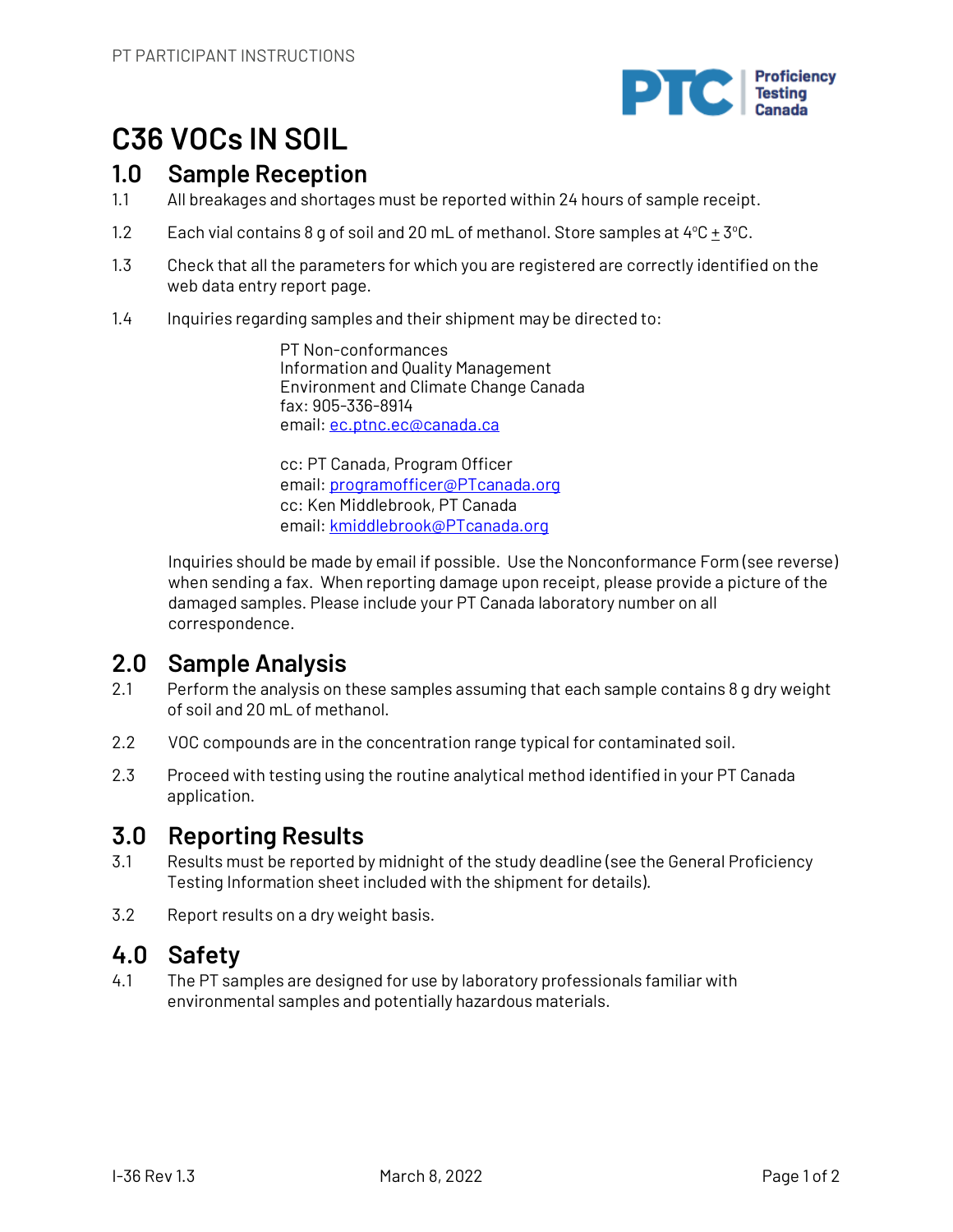

# **C36 VOCs IN SOIL**

## **1.0 Sample Reception**

- 1.1 All breakages and shortages must be reported within 24 hours of sample receipt.
- 1.2 Each vial contains 8 g of soil and 20 mL of methanol. Store samples at  $4^{\circ}$ C  $\pm$  3 $^{\circ}$ C.
- 1.3 Check that all the parameters for which you are registered are correctly identified on the web data entry report page.
- 1.4 Inquiries regarding samples and their shipment may be directed to:

PT Non-conformances Information and Quality Management Environment and Climate Change Canada fax: 905-336-8914 email: ec.ptnc.ec@canada.ca

cc: PT Canada, Program Officer email: programofficer@PTcanada.org cc: Ken Middlebrook, PT Canada email: kmiddlebrook@PTcanada.org

Inquiries should be made by email if possible. Use the Nonconformance Form (see reverse) when sending a fax. When reporting damage upon receipt, please provide a picture of the damaged samples. Please include your PT Canada laboratory number on all correspondence.

## **2.0 Sample Analysis**

- 2.1 Perform the analysis on these samples assuming that each sample contains 8 g dry weight of soil and 20 mL of methanol.
- 2.2 VOC compounds are in the concentration range typical for contaminated soil.
- 2.3 Proceed with testing using the routine analytical method identified in your PT Canada application.

# **3.0 Reporting Results**

- 3.1 Results must be reported by midnight of the study deadline (see the General Proficiency Testing Information sheet included with the shipment for details).
- 3.2 Report results on a dry weight basis.

## **4.0 Safety**

4.1 The PT samples are designed for use by laboratory professionals familiar with environmental samples and potentially hazardous materials.